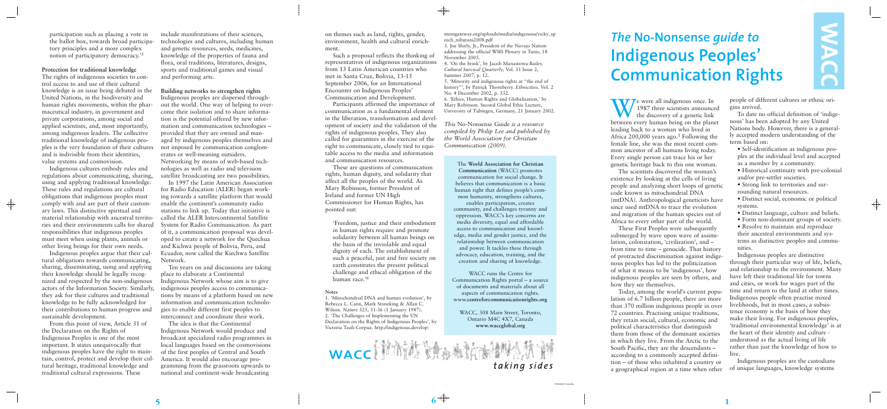We were all indigenous once. In 1987 three scientists announced the discovery of a genetic link between every human being on the planet leading back to a woman who lived in Africa 200,000 years ago.1 Following the female line, she was the most recent common ancestor of all humans living today. Every single person can trace his or her genetic heritage back to this one woman.

The scientists discovered the woman's existence by looking at the cells of living people and analyzing short loops of genetic code known as mitochondrial DNA (mtDNA). Anthropological geneticists have since used mtDNA to trace the evolution and migration of the human species out of Africa to every other part of the world.

These First Peoples were subsequently submerged by wave upon wave of assimilation, colonization, 'civilization', and – from time to time – genocide. That history of protracted discrimination against indigenous peoples has led to the politicization of what it means to be 'indigenous', how indigenous peoples are seen by others, and how they see themselves.

Today, among the world's current population of 6.7 billion people, there are more than 370 million indigenous people in over 72 countries. Practising unique traditions, they retain social, cultural, economic and political characteristics that distinguish them from those of the dominant societies in which they live. From the Arctic to the South Pacific, they are the descendants – according to a commonly accepted definition – of those who inhabited a country or a geographical region at a time when other

people of different cultures or ethnic origins arrived.

MACC

To date no official definition of 'indigenous' has been adopted by any United Nations body. However, there is a generally accepted modern understanding of the term based on:

• Self-identification as indigenous peoples at the individual level and accepted as a member by a community.

- Historical continuity with pre-colonial and/or pre-settler societies.
- Strong link to territories and surrounding natural resources.
- Distinct social, economic or political systems.
- Distinct language, culture and beliefs.
- Form non-dominant groups of society.

• Resolve to maintain and reproduce their ancestral environments and systems as distinctive peoples and communities.

Indigenous peoples are distinctive through their particular way of life, beliefs, and relationship to the environment. Many have left their traditional life for towns and cities, or work for wages part of the time and return to the land at other times. Indigenous people often practise mixed livelihoods, but in most cases, a subsistence economy is the basis of how they make their living. For indigenous peoples, 'traditional environmental knowledge' is at the heart of their identity and culture understood as the actual living of life rather than just the knowledge of how to live.

Indigenous peoples are the custodians of unique languages, knowledge systems

# *The* **No-Nonsense** *guide to* **Indigenous Peoples' Communication Rights**

on themes such as land, rights, gender, environment, health and cultural enrichment.

Such a proposal reflects the thinking of representatives of indigenous organizations from 13 Latin American countries who met in Santa Cruz, Bolivia, 13-15 September 2006, for an International Encounter on Indigenous Peoples' Communication and Development.

Participants affirmed the importance of communication as a fundamental element in the liberation, transformation and development of society and the validation of the rights of indigenous peoples. They also called for guarantees in the exercise of the right to communicate, closely tied to equitable access to the media and information and communication resources.

These are questions of communication rights, human dignity, and solidarity that affect all the peoples of the world. As Mary Robinson, former President of Ireland and former UN High Commissioner for Human Rights, has pointed out:

'Freedom, justice and their embodiment in human rights require and promote solidarity between all human beings on the basis of the inviolable and equal dignity of each. The establishment of such a peaceful, just and free society on earth constitutes the present political challenge and ethical obligation of the human race.'6

#### **Notes**

1. 'Mitochondrial DNA and human evolution', by Rebecca L. Cann, Mark Stoneking & Allan C. Wilson. *Nature* 325, 31-36 (1 January 1987). 2. 'The Challenges of Implementing the UN Declaration on the Rights of Indigenous Peoples', by Victoria Tauli-Corpuz. http://indigenous.develop-

WACC (新新考试参考所翻读成新

mentgateway.org/uploads/media/indigenous/vicky\_sp eech\_nibutani2008.pdf

3. Joe Shirly, Jr., President of the Navajo Nation addressing the official WSIS Plenary in Tunis, 18 November 2005.

 $\overline{\bigoplus}$ 

4. 'On the brink', by Jacob Manastowa-Bailey. *Cultural Survival Quarterly*, Vol. 31 Issue 2, Summer 2007, p. 12. 5. 'Minority and indigenous rights at "the end of

history"', by Patrick Thornberry. *Ethnicities*. Vol. 2 No. 4 December 2002, p. 532.

6. 'Ethics, Human Rights and Globalization,' by Mary Robinson. Second Global Ethic Lecture,

University of Tübingen, Germany, 21 January 2002.

*This* No-Nonsense Guide *is a resource compiled by Philip Lee and published by the World Association for Christian Communication (2009).*

> The **World Association for Christian Communication** (WACC) promotes communication for social change. It believes that communication is a basic human right that defines people's common humanity, strengthens cultures, enables participation, creates

community, and challenges tyranny and oppression. WACC's key concerns are media diversity, equal and affordable access to communication and knowledge, media and gender justice, and the relationship between communication and power. It tackles these through advocacy, education, training, and the creation and sharing of knowledge.

WACC runs the Centre for Communication Rights portal – a source of documents and materials about all aspects of communication rights. www.**centreforcommunicationrights.org**

WACC, 308 Main Street, Toronto, Ontario M4C 4X7, Canada **www.waccglobal.org**

taking sides

participation such as placing a vote in the ballot box, towards broad participatory principles and a more complex notion of participatory democracy.'5

### **Protection for traditional knowledge**

The rights of indigenous societies to control access to and use of their cultural knowledge is an issue being debated in the United Nations, in the biodiversity and human rights movements, within the pharmaceutical industry, in government and private corporations, among social and applied scientists, and, most importantly, among indigenous leaders. The collective traditional knowledge of indigenous peoples is the very foundation of their cultures and is indivisible from their identities, value systems and cosmovision.

Indigenous cultures embody rules and regulations about communicating, sharing, using and applying traditional knowledge. These rules and regulations are cultural obligations that indigenous peoples must comply with and are part of their customary laws. This distinctive spiritual and material relationship with ancestral territories and their environments calls for shared responsibilities that indigenous peoples must meet when using plants, animals or other living beings for their own needs.

 $\bigoplus$ 

Indigenous peoples argue that their cultural obligations towards communicating, sharing, disseminating, using and applying their knowledge should be legally recognized and respected by the non-indigenous actors of the Information Society. Similarly, they ask for their cultures and traditional knowledge to be fully acknowledged for their contributions to human progress and sustainable development.

From this point of view, Article 31 of the Declaration on the Rights of Indigenous Peoples is one of the most important. It states unequivocally that indigenous peoples have the right to maintain, control, protect and develop their cultural heritage, traditional knowledge and traditional cultural expressions. These

include manifestations of their sciences, technologies and cultures, including human and genetic resources, seeds, medicines, knowledge of the properties of fauna and flora, oral traditions, literatures, designs, sports and traditional games and visual and performing arts.

### **Building networks to strengthen rights**

Indigenous peoples are dispersed throughout the world. One way of helping to overcome their isolation and to share information is the potential offered by new information and communication technologies – provided that they are owned and managed by indigenous peoples themselves and not imposed by communication conglomerates or well-meaning outsiders. Networking by means of web-based technologies as well as radio and television satellite broadcasting are two possibilities.

In 1997 the Latin American Association for Radio Education (ALER) began working towards a satellite platform that would enable the continent's community radio stations to link up. Today that initiative is called the ALER Intercontinental Satellite System for Radio Communication. As part of it, a communication proposal was developed to create a network for the Quechua and Kichwa people of Bolivia, Peru, and Ecuador, now called the Kiechwa Satellite Network.

Ten years on and discussions are taking place to elaborate a Continental Indigenous Network whose aim is to give indigenous peoples access to communications by means of a platform based on new information and communication technologies to enable different first peoples to interconnect and coordinate their work.

The idea is that the Continental Indigenous Network would produce and broadcast specialized radio programmes in local languages based on the cosmovisions of the first peoples of Central and South America. It would also encourage programming from the grassroots upwards to national and continent-wide broadcasting